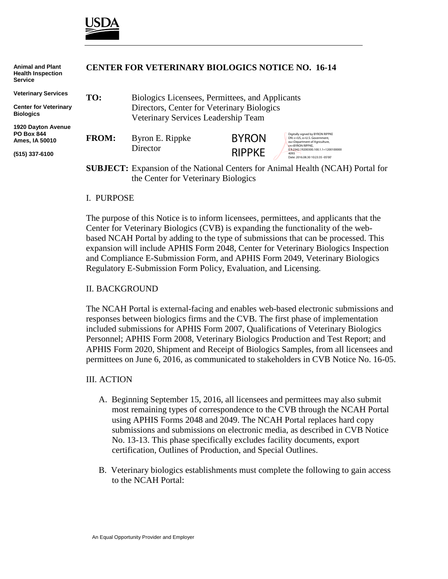

**Animal and Plant**

| <b>Health Inspection</b><br><b>Service</b>                       | CENTER FOR VETERINART DIOLOGICS NOTICE NO. 10-14                                      |                                                                                   |               |                                                                                                                       |
|------------------------------------------------------------------|---------------------------------------------------------------------------------------|-----------------------------------------------------------------------------------|---------------|-----------------------------------------------------------------------------------------------------------------------|
| <b>Veterinary Services</b>                                       | TO:                                                                                   | Biologics Licensees, Permittees, and Applicants                                   |               |                                                                                                                       |
| <b>Center for Veterinary</b><br><b>Biologics</b>                 |                                                                                       | Directors, Center for Veterinary Biologics<br>Veterinary Services Leadership Team |               |                                                                                                                       |
| <b>1920 Dayton Avenue</b><br><b>PO Box 844</b><br>Ames, IA 50010 | <b>FROM:</b>                                                                          | Byron E. Rippke                                                                   | <b>BYRON</b>  | Digitally signed by BYRON RIPPKE<br>DN: c=US, o=U.S. Government.<br>ou=Department of Agriculture,<br>cn=BYRON RIPPKE. |
| (515) 337-6100                                                   |                                                                                       | Director                                                                          | <b>RIPPKE</b> | 0.9.2342.19200300.100.1.1=1200100000<br>4093<br>Date: 2016.08.30 10:23:35 -05'00'                                     |
|                                                                  | <b>SUBJECT:</b> Expansion of the National Centers for Animal Health (NCAH) Portal for |                                                                                   |               |                                                                                                                       |

the Center for Veterinary Biologics

**CENTER FOR VETERINARY BIOLOGICS NOTICE NO. 16-14**

#### I. PURPOSE

The purpose of this Notice is to inform licensees, permittees, and applicants that the Center for Veterinary Biologics (CVB) is expanding the functionality of the webbased NCAH Portal by adding to the type of submissions that can be processed. This expansion will include APHIS Form 2048, Center for Veterinary Biologics Inspection and Compliance E-Submission Form, and APHIS Form 2049, Veterinary Biologics Regulatory E-Submission Form Policy, Evaluation, and Licensing.

#### II. BACKGROUND

The NCAH Portal is external-facing and enables web-based electronic submissions and responses between biologics firms and the CVB. The first phase of implementation included submissions for APHIS Form 2007, Qualifications of Veterinary Biologics Personnel; APHIS Form 2008, Veterinary Biologics Production and Test Report; and APHIS Form 2020, Shipment and Receipt of Biologics Samples, from all licensees and permittees on June 6, 2016, as communicated to stakeholders in CVB Notice No. 16-05.

#### III. ACTION

- A. Beginning September 15, 2016, all licensees and permittees may also submit most remaining types of correspondence to the CVB through the NCAH Portal using APHIS Forms 2048 and 2049. The NCAH Portal replaces hard copy submissions and submissions on electronic media, as described in CVB Notice No. 13-13. This phase specifically excludes facility documents, export certification, Outlines of Production, and Special Outlines.
- B. Veterinary biologics establishments must complete the following to gain access to the NCAH Portal: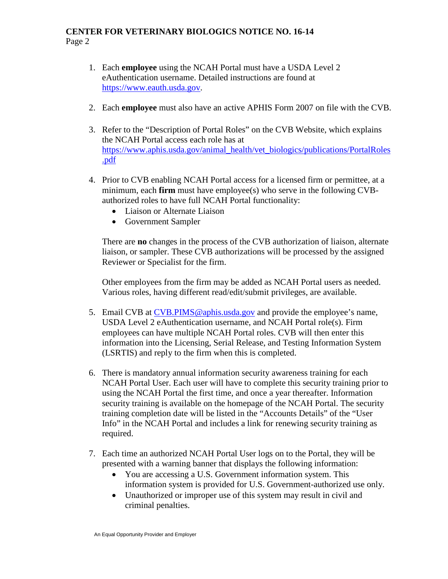## **CENTER FOR VETERINARY BIOLOGICS NOTICE NO. 16-14** Page 2

- 1. Each **employee** using the NCAH Portal must have a USDA Level 2 eAuthentication username. Detailed instructions are found at [https://www.eauth.usda.gov.](https://www.eauth.usda.gov/)
- 2. Each **employee** must also have an active APHIS Form 2007 on file with the CVB.
- 3. Refer to the "Description of Portal Roles" on the CVB Website, which explains the NCAH Portal access each role has at [https://www.aphis.usda.gov/animal\\_health/vet\\_biologics/publications/PortalRoles](https://www.aphis.usda.gov/animal_health/vet_biologics/publications/PortalRoles.pdf) [.pdf](https://www.aphis.usda.gov/animal_health/vet_biologics/publications/PortalRoles.pdf)
- 4. Prior to CVB enabling NCAH Portal access for a licensed firm or permittee, at a minimum, each **firm** must have employee(s) who serve in the following CVBauthorized roles to have full NCAH Portal functionality:
	- Liaison or Alternate Liaison
	- Government Sampler

There are **no** changes in the process of the CVB authorization of liaison, alternate liaison, or sampler. These CVB authorizations will be processed by the assigned Reviewer or Specialist for the firm.

Other employees from the firm may be added as NCAH Portal users as needed. Various roles, having different read/edit/submit privileges, are available.

- 5. Email CVB at [CVB.PIMS@aphis.usda.gov](mailto:CVB.PIMS@aphis.usda.gov) and provide the employee's name, USDA Level 2 eAuthentication username, and NCAH Portal role(s). Firm employees can have multiple NCAH Portal roles. CVB will then enter this information into the Licensing, Serial Release, and Testing Information System (LSRTIS) and reply to the firm when this is completed.
- 6. There is mandatory annual information security awareness training for each NCAH Portal User. Each user will have to complete this security training prior to using the NCAH Portal the first time, and once a year thereafter. Information security training is available on the homepage of the NCAH Portal. The security training completion date will be listed in the "Accounts Details" of the "User Info" in the NCAH Portal and includes a link for renewing security training as required.
- 7. Each time an authorized NCAH Portal User logs on to the Portal, they will be presented with a warning banner that displays the following information:
	- You are accessing a U.S. Government information system. This information system is provided for U.S. Government-authorized use only.
	- Unauthorized or improper use of this system may result in civil and criminal penalties.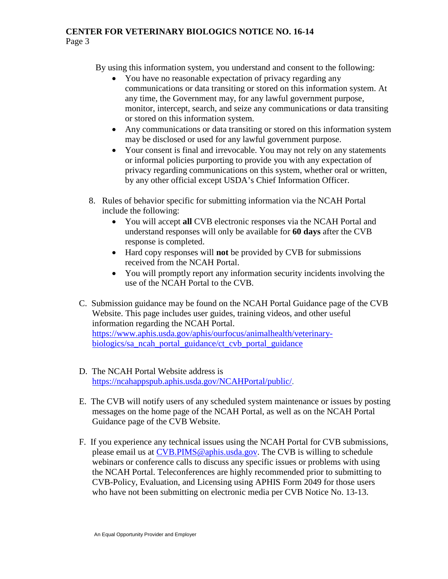## **CENTER FOR VETERINARY BIOLOGICS NOTICE NO. 16-14** Page 3

By using this information system, you understand and consent to the following:

- You have no reasonable expectation of privacy regarding any communications or data transiting or stored on this information system. At any time, the Government may, for any lawful government purpose, monitor, intercept, search, and seize any communications or data transiting or stored on this information system.
- Any communications or data transiting or stored on this information system may be disclosed or used for any lawful government purpose.
- Your consent is final and irrevocable. You may not rely on any statements or informal policies purporting to provide you with any expectation of privacy regarding communications on this system, whether oral or written, by any other official except USDA's Chief Information Officer.
- 8. Rules of behavior specific for submitting information via the NCAH Portal include the following:
	- You will accept **all** CVB electronic responses via the NCAH Portal and understand responses will only be available for **60 days** after the CVB response is completed.
	- Hard copy responses will **not** be provided by CVB for submissions received from the NCAH Portal.
	- You will promptly report any information security incidents involving the use of the NCAH Portal to the CVB.
- C. Submission guidance may be found on the NCAH Portal Guidance page of the CVB Website. This page includes user guides, training videos, and other useful information regarding the NCAH Portal. [https://www.aphis.usda.gov/aphis/ourfocus/animalhealth/veterinary](https://www.aphis.usda.gov/aphis/ourfocus/animalhealth/veterinary-biologics/sa_ncah_portal_guidance/ct_cvb_portal_guidance)[biologics/sa\\_ncah\\_portal\\_guidance/ct\\_cvb\\_portal\\_guidance](https://www.aphis.usda.gov/aphis/ourfocus/animalhealth/veterinary-biologics/sa_ncah_portal_guidance/ct_cvb_portal_guidance)
- D. The NCAH Portal Website address is [https://ncahappspub.aphis.usda.gov/NCAHPortal/public/.](https://ncahappspub.aphis.usda.gov/NCAHPortal/public/)
- E. The CVB will notify users of any scheduled system maintenance or issues by posting messages on the home page of the NCAH Portal, as well as on the NCAH Portal Guidance page of the CVB Website.
- F. If you experience any technical issues using the NCAH Portal for CVB submissions, please email us at [CVB.PIMS@aphis.usda.gov.](mailto:CVB.PIMS@aphis.usda.gov) The CVB is willing to schedule webinars or conference calls to discuss any specific issues or problems with using the NCAH Portal. Teleconferences are highly recommended prior to submitting to CVB-Policy, Evaluation, and Licensing using APHIS Form 2049 for those users who have not been submitting on electronic media per CVB Notice No. 13-13.